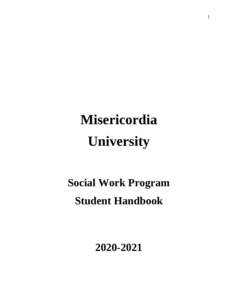# **Misericordia University**

## **Social Work Program Student Handbook**

**2020-2021**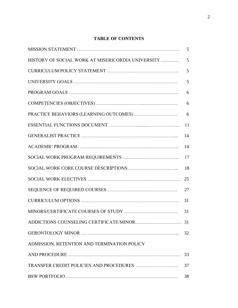### **TABLE OF CONTENTS**

|                                                   | 5  |
|---------------------------------------------------|----|
| HISTORY OF SOCIAL WORK AT MISERICORDIA UNIVERSITY | 5  |
|                                                   | 5  |
|                                                   | 5  |
|                                                   | 6  |
|                                                   | 6  |
|                                                   | 6  |
|                                                   | 11 |
|                                                   | 14 |
|                                                   | 14 |
|                                                   | 17 |
|                                                   | 18 |
|                                                   | 25 |
|                                                   | 27 |
|                                                   | 31 |
|                                                   | 31 |
|                                                   |    |
|                                                   | 32 |
| ADMISSION, RETENTION AND TERMINATION POLICY       |    |
|                                                   | 33 |
|                                                   | 37 |
|                                                   | 38 |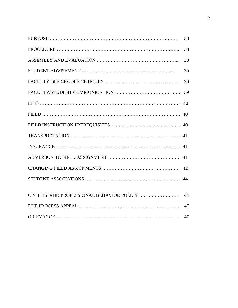| 38 |
|----|
| 38 |
| 38 |
| 39 |
| 39 |
| 39 |
| 40 |
| 40 |
|    |
|    |
|    |
|    |
| 42 |
| 44 |
| 44 |
| 47 |
| 47 |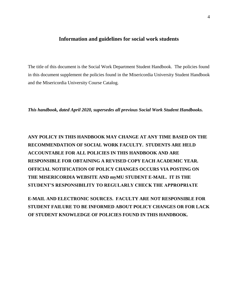### **Information and guidelines for social work students**

The title of this document is the Social Work Department Student Handbook. The policies found in this document supplement the policies found in the Misericordia University Student Handbook and the Misericordia University Course Catalog.

*This handbook, dated April 2020, supersedes all previous Social Work Student Handbooks.*

**ANY POLICY IN THIS HANDBOOK MAY CHANGE AT ANY TIME BASED ON THE RECOMMENDATION OF SOCIAL WORK FACULTY. STUDENTS ARE HELD ACCOUNTABLE FOR ALL POLICIES IN THIS HANDBOOK AND ARE RESPONSIBLE FOR OBTAINING A REVISED COPY EACH ACADEMIC YEAR. OFFICIAL NOTIFICATION OF POLICY CHANGES OCCURS VIA POSTING ON THE MISERICORDIA WEBSITE AND myMU STUDENT E-MAIL. IT IS THE STUDENT'S RESPONSIBILITY TO REGULARLY CHECK THE APPROPRIATE** 

**E-MAIL AND ELECTRONIC SOURCES. FACULTY ARE NOT RESPONSIBLE FOR STUDENT FAILURE TO BE INFORMED ABOUT POLICY CHANGES OR FOR LACK OF STUDENT KNOWLEDGE OF POLICIES FOUND IN THIS HANDBOOK.**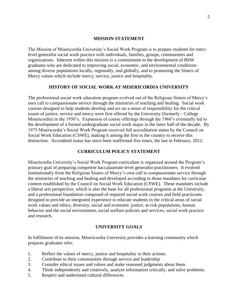### **MISSION STATEMENT**

The Mission of Misericordia University's Social Work Program is to prepare students for entrylevel generalist social work practice with individuals, families, groups, communities and organizations. Inherent within this mission is a commitment to the development of BSW graduates who are dedicated to improving social, economic, and environmental conditions among diverse populations locally, regionally, and globally, and to promoting the Sisters of Mercy values which include mercy, service, justice and hospitality.

### **HISTORY OF SOCIAL WORK AT MISERICORDIA UNIVERSITY**

The professional social work education program evolved out of the Religious Sisters of Mercy's own call to compassionate service through the ministries of teaching and healing. Social work courses designed to help students develop and act on a sense of responsibility for the critical issues of justice, service and mercy were first offered by the University (formerly - College Misericordia) in the 1950's. Expansion of course offerings through the 1960's eventually led to the development of a formal undergraduate social work major in the latter half of the decade. By 1975 Misericordia's Social Work Program received full accreditation status by the Council on Social Work Education (CSWE), making it among the first in the country to receive this distinction. Accredited status has since been reaffirmed five times, the last in February, 2012.

### **CURRICULUM POLICY STATEMENT**

Misericordia University's Social Work Program curriculum is organized around the Program's primary goal of preparing competent baccalaureate-level generalist practitioners. It evolved institutionally from the Religious Sisters of Mercy's own call to compassionate service through the ministries of teaching and healing and developed according to those mandates for curricular content established by the Council on Social Work Education (CSWE). These mandates include a liberal arts perspective, which is also the base for all professional programs at the University, and a professional foundation composed of required social work courses and field practicums designed to provide an integrated experience to educate students in the critical areas of social work values and ethics, diversity, social and economic justice, at-risk populations, human behavior and the social environment, social welfare policies and services, social work practice and research.

### **UNIVERSITY GOALS**

In fulfillment of its mission, Misericordia University provides a learning community which prepares graduates who:

- 1. Reflect the values of mercy, justice and hospitality in their actions.
- 2. Contribute to their communities through service and leadership
- 3. Consider ethical issues and values and make reasoned judgments about them.
- 4. Think independently and creatively, analyze information critically, and solve problems.
- 5. Respect and understand cultural differences.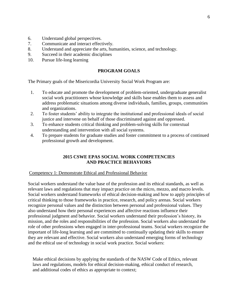- 6. Understand global perspectives.
- 7. Communicate and interact effectively.
- 8. Understand and appreciate the arts, humanities, science, and technology.
- 9. Succeed in their academic disciplines
- 10. Pursue life-long learning

### **PROGRAM GOALS**

The Primary goals of the Misericordia University Social Work Program are:

- 1. To educate and promote the development of problem-oriented, undergraduate generalist social work practitioners whose knowledge and skills base enables them to assess and address problematic situations among diverse individuals, families, groups, communities and organizations.
- 2. To foster students' ability to integrate the institutional and professional ideals of social justice and intervene on behalf of those discriminated against and oppressed.
- 3. To enhance students critical thinking and problem-solving skills for contextual understanding and intervention with all social systems.
- 4. To prepare students for graduate studies and foster commitment to a process of continued professional growth and development.

### **2015 CSWE EPAS SOCIAL WORK COMPETENCIES AND PRACTICE BEHAVIORS**

### Competency 1: Demonstrate Ethical and Professional Behavior

Social workers understand the value base of the profession and its ethical standards, as well as relevant laws and regulations that may impact practice on the micro, mezzo, and macro levels. Social workers understand frameworks of ethical decision-making and how to apply principles of critical thinking to those frameworks in practice, research, and policy arenas. Social workers recognize personal values and the distinction between personal and professional values. They also understand how their personal experiences and affective reactions influence their professional judgment and behavior. Social workers understand their profession's history, its mission, and the roles and responsibilities of the profession. Social workers also understand the role of other professions when engaged in inter-professional teams. Social workers recognize the important of life-long learning and are committed to continually updating their skills to ensure they are relevant and effective. Social workers also understand emerging forms of technology and the ethical use of technology in social work practice. Social workers:

 Make ethical decisions by applying the standards of the NASW Code of Ethics, relevant laws and regulations, models for ethical decision-making, ethical conduct of research, and additional codes of ethics as appropriate to context;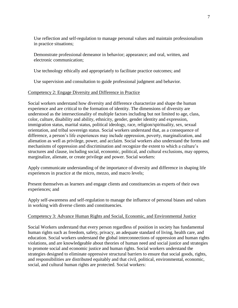Use reflection and self-regulation to manage personal values and maintain professionalism in practice situations;

 Demonstrate professional demeanor in behavior; appearance; and oral, written, and electronic communication;

Use technology ethically and appropriately to facilitate practice outcomes; and

Use supervision and consultation to guide professional judgment and behavior.

### Competency 2: Engage Diversity and Difference in Practice

Social workers understand how diversity and difference characterize and shape the human experience and are critical to the formation of identity. The dimensions of diversity are understood as the intersectionality of multiple factors including but not limited to age, class, color, culture, disability and ability, ethnicity, gender, gender identity and expression, immigration status, marital status, political ideology, race, religion/spirituality, sex, sexual orientation, and tribal sovereign status. Social workers understand that, as a consequence of difference, a person's life experiences may include oppression, poverty, marginalization, and alienation as well as privilege, power, and acclaim. Social workers also understand the forms and mechanisms of oppression and discrimination and recognize the extent to which a culture's structures and clause, including social, economic, political, and cultural exclusions, may oppress, marginalize, alienate, or create privilege and power. Social workers:

Apply communicate understanding of the importance of diversity and difference in shaping life experiences in practice at the micro, mezzo, and macro levels;

Present themselves as learners and engage clients and constituencies as experts of their own experiences; and

Apply self-awareness and self-regulation to manage the influence of personal biases and values in working with diverse clients and constituencies.

### Competency 3: Advance Human Rights and Social, Economic, and Environmental Justice

Social Workers understand that every person regardless of position in society has fundamental human rights such as freedom, safety, privacy, an adequate standard of living, health care, and education. Social workers understand the global interconnections of oppression and human rights violations, and are knowledgeable about theories of human need and social justice and strategies to promote social and economic justice and human rights. Social workers understand the strategies designed to eliminate oppressive structural barriers to ensure that social goods, rights, and responsibilities are distributed equitably and that civil, political, environmental, economic, social, and cultural human rights are protected. Social workers: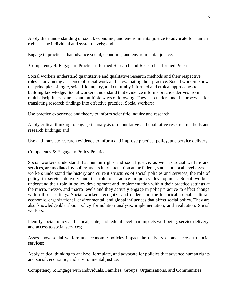Apply their understanding of social, economic, and environmental justice to advocate for human rights at the individual and system levels; and

Engage in practices that advance social, economic, and environmental justice.

### Competency 4: Engage in Practice-informed Research and Research-informed Practice

Social workers understand quantitative and qualitative research methods and their respective roles in advancing a science of social work and in evaluating their practice. Social workers know the principles of logic, scientific inquiry, and culturally informed and ethical approaches to building knowledge. Social workers understand that evidence informs practice derives from multi-disciplinary sources and multiple ways of knowing. They also understand the processes for translating research findings into effective practice. Social workers:

Use practice experience and theory to inform scientific inquiry and research;

Apply critical thinking to engage in analysis of quantitative and qualitative research methods and research findings; and

Use and translate research evidence to inform and improve practice, policy, and service delivery.

### Competency 5: Engage in Policy Practice

Social workers understand that human rights and social justice, as well as social welfare and services, are mediated by policy and its implementation at the federal, state, and local levels. Social workers understand the history and current structures of social policies and services, the role of policy in service delivery and the role of practice in policy development. Social workers understand their role in policy development and implementation within their practice settings at the micro, mezzo, and macro levels and they actively engage in policy practice to effect change within those settings. Social workers recognize and understand the historical, social, cultural, economic, organizational, environmental, and global influences that affect social policy. They are also knowledgeable about policy formulation analysis, implementation, and evaluation. Social workers:

Identify social policy at the local, state, and federal level that impacts well-being, service delivery, and access to social services;

Assess how social welfare and economic policies impact the delivery of and access to social services;

Apply critical thinking to analyze, formulate, and advocate for policies that advance human rights and social, economic, and environmental justice.

### Competency 6: Engage with Individuals, Families, Groups, Organizations, and Communities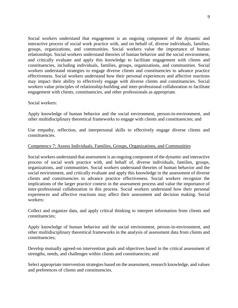Social workers understand that engagement is an ongoing component of the dynamic and interactive process of social work practice with, and on behalf of, diverse individuals, families, groups, organizations, and communities. Social workers value the importance of human relationships. Social workers understand theories of human behavior and the social environment, and critically evaluate and apply this knowledge to facilitate engagement with clients and constituencies, including individuals, families, groups, organizations, and communities. Social workers understand strategies to engage diverse clients and constituencies to advance practice effectiveness. Social workers understand how their personal experiences and affective reactions may impact their ability to effectively engage with diverse clients and constituencies. Social workers value principles of relationship-building and inter-professional collaboration to facilitate engagement with clients, constituencies, and other professionals as appropriate.

### Social workers:

Apply knowledge of human behavior and the social environment, person-in-environment, and other multidisciplinary theoretical frameworks to engage with clients and constituencies; and

Use empathy, reflection, and interpersonal skills to effectively engage diverse clients and constituencies.

### Competency 7: Assess Individuals, Families, Groups, Organizations, and Communities

Social workers understand that assessment is an ongoing component of the dynamic and interactive process of social work practice with, and behalf of, diverse individuals, families, groups, organizations, and communities. Social workers understand theories of human behavior and the social environment, and critically evaluate and apply this knowledge in the assessment of diverse clients and constituencies to advance practice effectiveness. Social workers recognize the implications of the larger practice context in the assessment process and value the importance of inter-professional collaboration in this process. Social workers understand how their personal experiences and affective reactions may affect their assessment and decision making. Social workers:

Collect and organize data, and apply critical thinking to interpret information from clients and constituencies;

Apply knowledge of human behavior and the social environment, person-in-environment, and other multidisciplinary theoretical frameworks in the analysis of assessment data from clients and constituencies;

Develop mutually agreed-on intervention goals and objectives based in the critical assessment of strengths, needs, and challenges within clients and constituencies; and

Select appropriate intervention strategies based on the assessment, research knowledge, and values and preferences of clients and constituencies.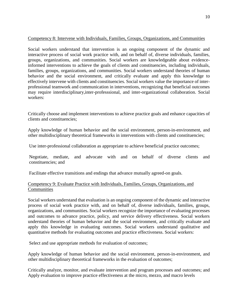### Competency 8: Intervene with Individuals, Families, Groups, Organizations, and Communities

Social workers understand that intervention is an ongoing component of the dynamic and interactive process of social work practice with, and on behalf of, diverse individuals, families, groups, organizations, and communities. Social workers are knowledgeable about evidenceinformed interventions to achieve the goals of clients and constituencies, including individuals, families, groups, organizations, and communities. Social workers understand theories of human behavior and the social environment, and critically evaluate and apply this knowledge to effectively intervene with clients and constituencies. Social workers value the importance of interprofessional teamwork and communication in interventions, recognizing that beneficial outcomes may require interdisciplinary,inter-professsional, and inter-organizational collaboration. Social workers:

Critically choose and implement interventions to achieve practice goals and enhance capacities of clients and constituencies;

Apply knowledge of human behavior and the social environment, person-in-environment, and other multidisciplinary theoretical frameworks in interventions with clients and constituencies;

Use inter-professional collaboration as appropriate to achieve beneficial practice outcomes;

Negotiate, mediate, and advocate with and on behalf of diverse clients and constituencies; and

Facilitate effective transitions and endings that advance mutually agreed-on goals.

### Competency 9: Evaluate Practice with Individuals, Families, Groups, Organizations, and Communities

Social workers understand that evaluation is an ongoing component of the dynamic and interactive process of social work practice with, and on behalf of, diverse individuals, families, groups, organizations, and communities. Social workers recognize the importance of evaluating processes and outcomes to advance practice, policy, and service delivery effectiveness. Social workers understand theories of human behavior and the social environment, and critically evaluate and apply this knowledge in evaluating outcomes. Social workers understand qualitative and quantitative methods for evaluating outcomes and practice effectiveness. Social workers:

Select and use appropriate methods for evaluation of outcomes;

Apply knowledge of human behavior and the social environment, person-in-environment, and other multidisciplinary theoretical frameworks in the evaluation of outcomes;

Critically analyze, monitor, and evaluate intervention and program processes and outcomes; and Apply evaluation to improve practice effectiveness at the micro, mezzo, and macro levels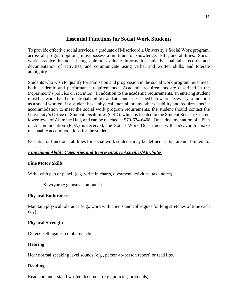### **Essential Functions for Social Work Students**

To provide effective social services, a graduate of Misericordia University's Social Work program, across all program options, must possess a multitude of knowledge, skills, and abilities. Social work practice includes being able to evaluate information quickly, maintain records and documentation of activities, and communicate using verbal and written skills, and tolerate ambiguity.

Students who wish to qualify for admission and progression in the social work program must meet both academic and performance requirements. Academic requirements are described in the Department's policies on retention. In addition to the academic requirements, an entering student must be aware that the functional abilities and attributes described below are necessary to function as a social worker. If a student has a physical, mental, or any other disability and requires special accommodation to meet the social work program requirements, the student should contact the University's Office of Student Disabilities (OSD), which is located in the Student Success Center, lower level of Alumnae Hall, and can be reached at 570-674-6408. Once documentation of a Plan of Accommodation (POA) is received, the Social Work Department will endeavor to make reasonable accommodations for the student.

Essential or functional abilities for social work students may be defined as, but are not limited to:

### *Functional Ability Categories and Representative Activities/Attributes*

### **Fine Motor Skills**

Write with pen or pencil (e.g. write in charts, document activities, take notes)

Key/type (e.g., use a computer)

### **Physical Endurance**

Maintain physical tolerance (e.g., work with clients and colleagues for long stretches of time each day)

### **Physical Strength**

Defend self against combative client

### **Hearing**

Hear normal speaking level sounds (e.g., person-to-person report) or read lips.

### **Reading**

Read and understand written document (e.g., policies, protocols)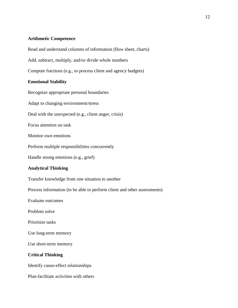### **Arithmetic Competence**

Read and understand columns of information (flow sheet, charts)

Add, subtract, multiply, and/or divide whole numbers

Compute fractions (e.g., to process client and agency budgets)

### **Emotional Stability**

Recognize appropriate personal boundaries Adapt to changing environment/stress Deal with the unexpected (e.g., client anger, crisis) Focus attention on task Monitor own emotions Perform multiple responsibilities concurrently Handle strong emotions (e.g., grief)

### **Analytical Thinking**

Transfer knowledge from one situation to another

Process information (to be able to perform client and other assessments)

Evaluate outcomes

Problem solve

Prioritize tasks

Use long-term memory

Use short-term memory

### **Critical Thinking**

Identify cause-effect relationships

Plan-facilitate activities with others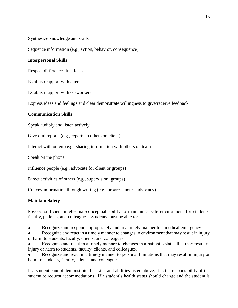Synthesize knowledge and skills

Sequence information (e.g., action, behavior, consequence)

### **Interpersonal Skills**

Respect differences in clients

Establish rapport with clients

Establish rapport with co-workers

Express ideas and feelings and clear demonstrate willingness to give/receive feedback

### **Communication Skills**

Speak audibly and listen actively

Give oral reports (e.g., reports to others on client)

Interact with others (e.g., sharing information with others on team

Speak on the phone

Influence people (e.g., advocate for client or groups)

Direct activities of others (e.g., supervision, groups)

Convey information through writing (e.g., progress notes, advocacy)

### **Maintain Safety**

Possess sufficient intellectual-conceptual ability to maintain a safe environment for students, faculty, patients, and colleagues. Students must be able to:

Recognize and respond appropriately and in a timely manner to a medical emergency

• Recognize and react in a timely manner to changes in environment that may result in injury or harm to students, faculty, clients, and colleagues.

Recognize and react in a timely manner to changes in a patient's status that may result in injury or harm to students, faculty, clients, and colleagues.

Recognize and react in a timely manner to personal limitations that may result in injury or harm to students, faculty, clients, and colleagues.

If a student cannot demonstrate the skills and abilities listed above, it is the responsibility of the student to request accommodations. If a student's health status should change and the student is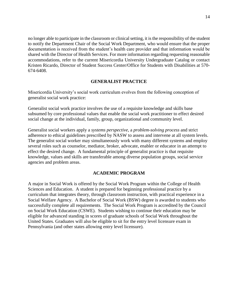no longer able to participate in the classroom or clinical setting, it is the responsibility of the student to notify the Department Chair of the Social Work Department, who would ensure that the proper documentation is received from the student's health care provider and that information would be shared with the Director of Health Services. For more information regarding requesting reasonable accommodations, refer to the current Misericordia University Undergraduate Catalog or contact Kristen Ricardo, Director of Student Success Center/Office for Students with Disabilities at 570- 674-6408.

### **GENERALIST PRACTICE**

Misericordia University's social work curriculum evolves from the following conception of generalist social work practice:

Generalist social work practice involves the use of a requisite knowledge and skills base subsumed by core professional values that enable the social work practitioner to effect desired social change at the individual, family, group, organizational and community level.

Generalist social workers apply a *systems perspective*, a *problem-solving process* and strict adherence to ethical guidelines prescribed by NASW to assess and intervene at all system levels. The generalist social worker may simultaneously work with many different systems and employ several roles such as counselor, mediator, broker, advocate, enabler or educator in an attempt to effect the desired change. A fundamental principle of generalist practice is that requisite knowledge, values and skills are transferable among diverse population groups, social service agencies and problem areas.

### **ACADEMIC PROGRAM**

A major in Social Work is offered by the Social Work Program within the College of Health Sciences and Education. A student is prepared for beginning professional practice by a curriculum that integrates theory, through classroom instruction, with practical experience in a Social Welfare Agency. A Bachelor of Social Work (BSW) degree is awarded to students who successfully complete all requirements. The Social Work Program is accredited by the Council on Social Work Education (CSWE). Students wishing to continue their education may be eligible for advanced standing in scores of graduate schools of Social Work throughout the United States. Graduates will also be eligible to sit for the entry level licensure exam in Pennsylvania (and other states allowing entry level licensure).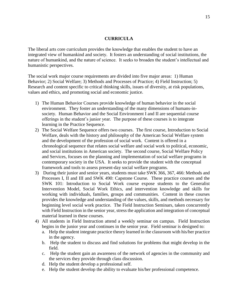### **CURRICULA**

The liberal arts core curriculum provides the knowledge that enables the student to have an integrated view of humankind and society. It fosters an understanding of social institutions, the nature of humankind, and the nature of science. It seeks to broaden the student's intellectual and humanistic perspectives.

The social work major course requirements are divided into five major areas: 1) Human Behavior; 2) Social Welfare; 3) Methods and Processes of Practice; 4) Field Instruction; 5) Research and content specific to critical thinking skills, issues of diversity, at risk populations, values and ethics, and promoting social and economic justice.

- 1) The Human Behavior Courses provide knowledge of human behavior in the social environment. They foster an understanding of the many dimensions of humans-insociety. Human Behavior and the Social Environment I and II are sequential course offerings in the student's junior year. The purpose of these courses is to integrate learning in the Practice Sequence.
- 2) The Social Welfare Sequence offers two courses. The first course, Introduction to Social Welfare, deals with the history and philosophy of the American Social Welfare system and the development of the profession of social work. Content is offered in a chronological sequence that relates social welfare and social work to political, economic, and social institutions in American society. The second course, Social Welfare Policy and Services, focuses on the planning and implementation of social welfare programs in contemporary society in the USA. It seeks to provide the student with the conceptual framework and tools to assess present-day social welfare programs.
- 3) During their junior and senior years, students must take SWK 366, 367, 466: Methods and Processes I, II and III and SWK 490: Capstone Course. These practice courses and the SWK 101: Introduction to Social Work course expose students to the Generalist Intervention Model, Social Work Ethics, and intervention knowledge and skills for working with individuals, families, groups and communities. Content in these courses provides the knowledge and understanding of the values, skills, and methods necessary for beginning level social work practice. The Field Instruction Seminars, taken concurrently with Field Instruction in the senior year, stress the application and integration of conceptual material learned in these courses.
- 4) All students in Field Instruction attend a weekly seminar on campus. Field Instruction begins in the junior year and continues in the senior year. Field seminar is designed to:
	- a. Help the student integrate practice theory learned in the classroom with his/her practice in the agency.
	- b. Help the student to discuss and find solutions for problems that might develop in the field.
	- c. Help the student gain an awareness of the network of agencies in the community and the services they provide through class discussion.
	- d. Help the student develop a professional self.
	- e. Help the student develop the ability to evaluate his/her professional competence.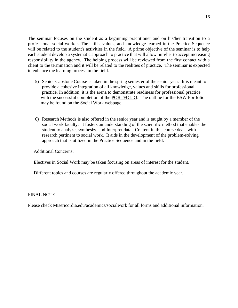The seminar focuses on the student as a beginning practitioner and on his/her transition to a professional social worker. The skills, values, and knowledge learned in the Practice Sequence will be related to the student's activities in the field. A prime objective of the seminar is to help each student develop a systematic approach to practice that will allow him/her to accept increasing responsibility in the agency. The helping process will be reviewed from the first contact with a client to the termination and it will be related to the realities of practice. The seminar is expected to enhance the learning process in the field.

- 5) Senior Capstone Course is taken in the spring semester of the senior year. It is meant to provide a cohesive integration of all knowledge, values and skills for professional practice. In addition, it is the arena to demonstrate readiness for professional practice with the successful completion of the PORTFOLIO. The outline for the BSW Portfolio may be found on the Social Work webpage.
- 6) Research Methods is also offered in the senior year and is taught by a member of the social work faculty. It fosters an understanding of the scientific method that enables the student to analyze, synthesize and Interpret data. Content in this course deals with research pertinent to social work. It aids in the development of the problem-solving approach that is utilized in the Practice Sequence and in the field.

Additional Concerns:

Electives in Social Work may be taken focusing on areas of interest for the student.

Different topics and courses are regularly offered throughout the academic year.

### FINAL NOTE

Please check Misericordia.edu/academics/socialwork for all forms and additional information.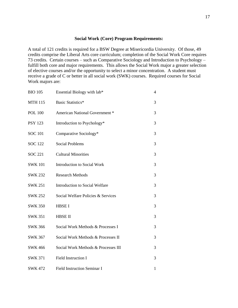### **Social Work (Core) Program Requirements:**

A total of 121 credits is required for a BSW Degree at Misericordia University. Of those, 49 credits comprise the Liberal Arts core curriculum; completion of the Social Work Core requires 73 credits. Certain courses – such as Comparative Sociology and Introduction to Psychology – fulfill both core and major requirements. This allows the Social Work major a greater selection of elective courses and/or the opportunity to select a minor concentration. A student must receive a grade of C or better in all social work (SWK) courses. Required courses for Social Work majors are:

| <b>BIO 105</b> | Essential Biology with lab*         | $\overline{4}$ |
|----------------|-------------------------------------|----------------|
| <b>MTH 115</b> | <b>Basic Statistics*</b>            | 3              |
| <b>POL 100</b> | American National Government *      | 3              |
| <b>PSY 123</b> | Introduction to Psychology*         | 3              |
| <b>SOC 101</b> | Comparative Sociology*              | 3              |
| <b>SOC 122</b> | <b>Social Problems</b>              | 3              |
| <b>SOC 221</b> | <b>Cultural Minorities</b>          | 3              |
| <b>SWK 101</b> | Introduction to Social Work         | 3              |
| <b>SWK 232</b> | <b>Research Methods</b>             | 3              |
| <b>SWK 251</b> | Introduction to Social Welfare      | 3              |
| <b>SWK 252</b> | Social Welfare Policies & Services  | 3              |
| <b>SWK 350</b> | <b>HBSEI</b>                        | 3              |
| <b>SWK 351</b> | <b>HBSE II</b>                      | 3              |
| <b>SWK 366</b> | Social Work Methods & Processes I   | 3              |
| <b>SWK 367</b> | Social Work Methods & Processes II  | 3              |
| <b>SWK 466</b> | Social Work Methods & Processes III | 3              |
| <b>SWK 371</b> | <b>Field Instruction I</b>          | 3              |
| <b>SWK 472</b> | <b>Field Instruction Seminar I</b>  | $\mathbf{1}$   |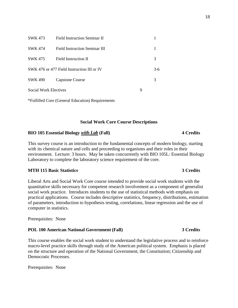| <b>SWK 473</b>                             | Field Instruction Seminar II  |       |
|--------------------------------------------|-------------------------------|-------|
| <b>SWK 474</b>                             | Field Instruction Seminar III |       |
| <b>SWK 475</b>                             | Field Instruction II          | 3     |
| SWK 476 or 477 Field Instruction III or IV |                               | $3-6$ |
| <b>SWK 490</b>                             | <b>Capstone Course</b>        | 3     |
| <b>Social Work Electives</b><br>9          |                               |       |
|                                            |                               |       |

\*Fulfilled Core (General Education) Requirements

### **Social Work Core Course Descriptions**

### **BIO 105 Essential Biology** *with Lab* **(Fall) 4 Credits**

This survey course is an introduction to the fundamental concepts of modern biology, starting with its chemical nature and cells and proceeding to organisms and their roles in their environment. Lecture: 3 hours. May be taken concurrently with BIO 105L: Essential Biology Laboratory to complete the laboratory science requirement of the core.

### **MTH 115 Basic Statistics 3 Credits**

Liberal Arts and Social Work Core course intended to provide social work students with the quantitative skills necessary for competent research involvement as a component of generalist social work practice. Introduces students to the use of statistical methods with emphasis on practical applications. Course includes descriptive statistics, frequency, distributions, estimation of parameters, introduction to hypothesis testing, correlations, linear regression and the use of computer in statistics.

Prerequisites: None

### **POL 100 American National Government (Fall) 3 Credits**

This course enables the social work student to understand the legislative process and to reinforce macro-level practice skills through study of the American political system. Emphasis is placed on the structure and operation of the National Government; the Constitution; Citizenship and Democratic Processes.

Prerequisites: None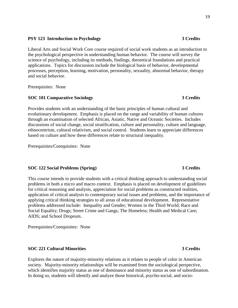### **PSY 123 Introduction to Psychology 3 Credits**

Liberal Arts and Social Work Core course required of social work students as an introduction to the psychological perspective in understanding human behavior. The course will survey the science of psychology, including its methods, findings, theoretical foundations and practical applications. Topics for discussion include the biological basis of behavior, developmental processes, perception, learning, motivation, personality, sexuality, abnormal behavior, therapy and social behavior.

Prerequisites: None

### **SOC 101 Comparative Sociology 3 Credits**

Provides students with an understanding of the basic principles of human cultural and evolutionary development. Emphasis is placed on the range and variability of human cultures through an examination of selected African, Asiatic, Native and Oceanic Societies. Includes discussions of social change, social stratification, culture and personality, culture and language, ethnocentrism, cultural relativism, and social control. Students learn to appreciate differences based on culture and how these differences relate to structural inequality.

Prerequisites/Corequisites: None

### **SOC 122 Social Problems (Spring) 3 Credits**

This course intends to provide students with a critical thinking approach to understanding social problems in both a micro and macro context. Emphasis is placed on development of guidelines for critical reasoning and analysis, appreciation for social problems as constructed realities, application of critical analysis to contemporary social issues and problems, and the importance of applying critical thinking strategies to all areas of educational development. Representative problems addressed include: Inequality and Gender; Women in the Third World; Race and Social Equality; Drugs; Street Crime and Gangs; The Homeless; Health and Medical Care; AIDS; and School Dropouts.

Prerequisites/Corequisites: None

### **SOC 221 Cultural Minorities 3 Credits**

Explores the nature of majority-minority relations as it relates to people of color in American society. Majority-minority relationships will be examined from the sociological perspective, which identifies majority status as one of dominance and minority status as one of subordination. In doing so, students will identify and analyze those historical, psycho-social, and socio-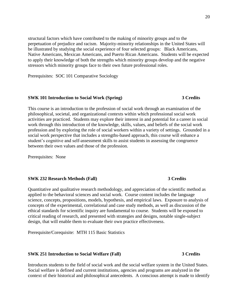structural factors which have contributed to the making of minority groups and to the perpetuation of prejudice and racism. Majority-minority relationships in the United States will be illustrated by studying the social experience of four selected groups: Black Americans, Native Americans, Mexican Americans, and Puerto Rican Americans. Students will be expected to apply their knowledge of both the strengths which minority groups develop and the negative stressors which minority groups face to their own future professional roles.

Prerequisites: SOC 101 Comparative Sociology

### **SWK 101 Introduction to Social Work (Spring) 3 Credits**

This course is an introduction to the profession of social work through an examination of the philosophical, societal, and organizational contexts within which professional social work activities are practiced. Students may explore their interest in and potential for a career in social work through this introduction of the knowledge, skills, values, and beliefs of the social work profession and by exploring the role of social workers within a variety of settings. Grounded in a social work perspective that includes a strengths-based approach, this course will enhance a student's cognitive and self-assessment skills to assist students in assessing the congruence between their own values and those of the profession.

Prerequisites: None

### **SWK 232 Research Methods (Fall) 3 Credits**

Quantitative and qualitative research methodology, and appreciation of the scientific method as applied to the behavioral sciences and social work. Course content includes the language science, concepts, propositions, models, hypothesis, and empirical laws. Exposure to analysis of concepts of the experimental, correlational and case study methods, as well as discussion of the ethical standards for scientific inquiry are fundamental to course. Students will be exposed to critical reading of research, and presented with strategies and designs, notable single-subject design, that will enable them to evaluate their own practice effectiveness.

Prerequisite/Corequisite: MTH 115 Basic Statistics

### **SWK 251 Introduction to Social Welfare (Fall) 3 Credits**

Introduces students to the field of social work and the social welfare system in the United States. Social welfare is defined and current institutions, agencies and programs are analyzed in the context of their historical and philosophical antecedents. A conscious attempt is made to identify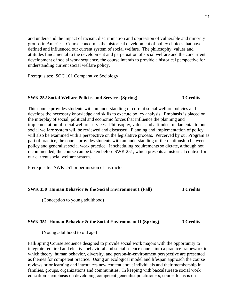and understand the impact of racism, discrimination and oppression of vulnerable and minority groups in America. Course concern is the historical development of policy choices that have defined and influenced our current system of social welfare. The philosophy, values and attitudes fundamental to the development and perpetuation of social welfare and the concurrent development of social work sequence, the course intends to provide a historical perspective for understanding current social welfare policy.

Prerequisites: SOC 101 Comparative Sociology

### **SWK 252 Social Welfare Policies and Services (Spring) 3 Credits**

This course provides students with an understanding of current social welfare policies and develops the necessary knowledge and skills to execute policy analysis. Emphasis is placed on the interplay of social, political and economic forces that influence the planning and implementation of social welfare services. Philosophy, values and attitudes fundamental to our social welfare system will be reviewed and discussed. Planning and implementation of policy will also be examined with a perspective on the legislative process. Perceived by our Program as part of practice, the course provides students with an understanding of the relationship between policy and generalist social work practice. If scheduling requirements so dictate, although not recommended, the course can be taken before SWK 251, which presents a historical context for our current social welfare system.

Prerequisite: SWK 251 or permission of instructor

### **SWK 350 Human Behavior & the Social Environment I (Fall) 3 Credits**

(Conception to young adulthood)

### **SWK 351 Human Behavior & the Social Environment II (Spring) 3 Credits**

(Young adulthood to old age)

Fall/Spring Course sequence designed to provide social work majors with the opportunity to integrate required and elective behavioral and social science course into a practice framework in which theory, human behavior, diversity, and person-in-environment perspective are presented as themes for competent practice. Using an ecological model and lifespan approach the course reviews prior learning and introduces new content about individuals and their membership in families, groups, organizations and communities. In keeping with baccalaureate social work education's emphasis on developing competent generalist practitioners, course focus is on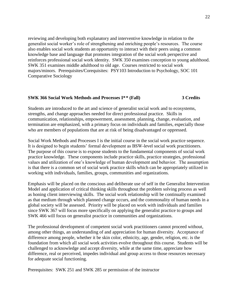reviewing and developing both explanatory and interventive knowledge in relation to the generalist social worker's role of strengthening and enriching people's resources. The course also enables social work students an opportunity to interact with their peers using a common knowledge base and language that promotes integration of the social work perspective and reinforces professional social work identity. SWK 350 examines conception to young adulthood. SWK 351 examines middle adulthood to old age. Courses restricted to social work majors/minors. Prerequisites/Corequisites: PSY103 Introduction to Psychology, SOC 101 Comparative Sociology

### **SWK 366 Social Work Methods and Processes I\*\* (Fall) 3 Credits**

Students are introduced to the art and science of generalist social work and to ecosystems, strengths, and change approaches needed for direct professional practice. Skills in communication, relationships, empowerment, assessment, planning, change, evaluation, and termination are emphasized, with a primary focus on individuals and families, especially those who are members of populations that are at risk of being disadvantaged or oppressed.

Social Work Methods and Processes I is the initial course in the social work practice sequence. It is designed to begin students' formal development as BSW-level social work practitioners. The purpose of this course is to expose students to the fundamental components of social work practice knowledge. These components include practice skills, practice strategies, professional values and utilization of one's knowledge of human development and behavior. The assumption is that there is a common set of social work practice skills which can be appropriately utilized in working with individuals, families, groups, communities and organizations.

Emphasis will be placed on the conscious and deliberate use of self in the Generalist Intervention Model and application of critical thinking skills throughout the problem solving process as well as honing client interviewing skills. The social work relationship will be continually examined as that medium through which planned change occurs, and the commonality of human needs in a global society will be assessed. Priority will be placed on work with individuals and families since SWK 367 will focus more specifically on applying the generalist practice to groups and SWK 466 will focus on generalist practice in communities and organizations.

The professional development of competent social work practitioners cannot proceed without, among other things, an understanding of and appreciation for human diversity. Acceptance of difference among people, whether it be skin color, ethnicity, age, gender, religion, etc. is the foundation from which all social work activities evolve throughout this course. Students will be challenged to acknowledge and accept diversity, while at the same time, appreciate how difference, real or perceived, impedes individual and group access to those resources necessary for adequate social functioning.

Prerequisites: SWK 251 and SWK 285 or permission of the instructor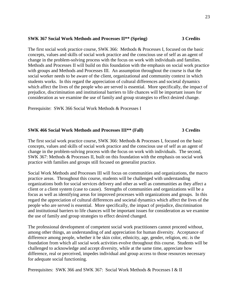### **SWK 367 Social Work Methods and Processes II\*\* (Spring) 3 Credits**

The first social work practice course, SWK 366: Methods & Processes I, focused on the basic concepts, values and skills of social work practice and the conscious use of self as an agent of change in the problem-solving process with the focus on work with individuals and families. Methods and Processes II will build on this foundation with the emphasis on social work practice with groups and Methods and Processes III. An assumption throughout the course is that the social worker needs to be aware of the client, organizational and community context in which students works. In this regard the appreciation of cultural differences and societal dynamics which affect the lives of the people who are served is essential. More specifically, the impact of prejudice, discrimination and institutional barriers to life chances will be important issues for consideration as we examine the use of family and group strategies to effect desired change.

Prerequisite: SWK 366 Social Work Methods & Processes I

### **SWK 466 Social Work Methods and Processes III\*\* (Fall) 3 Credits**

The first social work practice course, SWK 366: Methods & Processes I, focused on the basic concepts, values and skills of social work practice and the conscious use of self as an agent of change in the problem-solving process with the focus on work with individuals. The second, SWK 367: Methods & Processes II, built on this foundation with the emphasis on social work practice with families and groups still focused on generalist practice.

Social Work Methods and Processes III will focus on communities and organizations, the macro practice areas. Throughout this course, students will be challenged with understanding organizations both for social services delivery and other as well as communities as they affect a client or a client system (case to cause). Strengths of communities and organizations will be a focus as well as identifying areas for improved processes with organizations and groups. In this regard the appreciation of cultural differences and societal dynamics which affect the lives of the people who are served is essential. More specifically, the impact of prejudice, discrimination and institutional barriers to life chances will be important issues for consideration as we examine the use of family and group strategies to effect desired changed.

The professional development of competent social work practitioners cannot proceed without, among other things, an understanding of and appreciation for human diversity. Acceptance of difference among people, whether it be skin color, ethnicity, age, gender, religion, etc. is the foundation from which all social work activities evolve throughout this course. Students will be challenged to acknowledge and accept diversity, while at the same time, appreciate how difference, real or perceived, impedes individual and group access to those resources necessary for adequate social functioning.

Prerequisites: SWK 366 and SWK 367: Social Work Methods & Processes I & II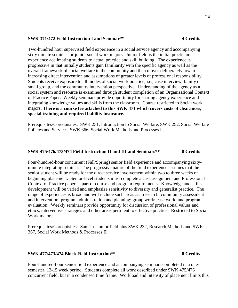### **SWK 371/472 Field Instruction I and Seminar\*\* 4 Credits**

### Two-hundred hour supervised field experience in a social service agency and accompanying sixty minute seminar for junior social work majors. Junior field is the initial practicum experience acclimating students to actual practice and skill building. The experience is progressive in that initially students gain familiarity with the specific agency as well as the overall framework of social welfare in the community and then moves deliberately toward increasing direct intervention and assumptions of greater levels of professional responsibility. Students receive exposure to all modes of social work practice, i.e., case interview, family or small group, and the community intervention perspective. Understanding of the agency as a social system and resource is examined through student completion of an Organizational Context of Practice Paper. Weekly seminars provide opportunity for sharing agency experience and integrating knowledge values and skills from the classroom. Course restricted to Social work majors. **There is a course fee attached to this SWK 371 which covers costs of clearances, special training and required liability insurance.**

Prerequisites/Corequisites: SWK 251, Introduction to Social Welfare, SWK 252, Social Welfare Policies and Services, SWK 366, Social Work Methods and Processes I

### **SWK 475/476/473/474 Field Instruction II and III and Seminars\*\* 8 Credits**

Four-hundred-hour concurrent (Fall/Spring) senior field experience and accompanying sixtyminute integrating seminar. The progressive nature of the field experience assumes that the senior student will be ready for the direct service involvement within two to three weeks of beginning placement. Senior-level students must complete a case assignment and Professional Context of Practice paper as part of course and program requirements. Knowledge and skills development will be varied and emphasize sensitivity to diversity and generalist practice. The range of experiences is broad and will include such areas as: research; community assessment and intervention; program administration and planning; group work; case work; and program evaluation. Weekly seminars provide opportunity for discussion of professional values and ethics, interventive strategies and other areas pertinent to effective practice. Restricted to Social Work majors.

Prerequisites/Corequisites: Same as Junior field plus SWK 232, Research Methods and SWK 367, Social Work Methods & Processes II.

### **SWK 477/473/474 Block Field Instruction\*\* 8 Credits**

Four-hundred-hour senior field experience and accompanying seminars completed in a onesemester, 12-15 week period. Students complete all work described under SWK 475/476 concurrent field, but in a condensed time frame. Workload and intensity of placement limits this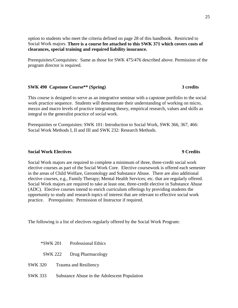option to students who meet the criteria defined on page 28 of this handbook. Restricted to Social Work majors. **There is a course fee attached to this SWK 371 which covers costs of clearances, special training and required liability insurance.** 

Prerequisites/Corequisites: Same as those for SWK 475/476 described above. Permission of the program director is required.

### **SWK 490 Capstone Course\*\* (Spring) 3 credits**

This course is designed to serve as an integrative seminar with a capstone portfolio to the social work practice sequence. Students will demonstrate their understanding of working on micro, mezzo and macro levels of practice integrating theory, empirical research, values and skills as integral to the generalist practice of social work.

Prerequisites or Corequisites: SWK 101: Introduction to Social Work, SWK 366, 367, 466: Social Work Methods I, II and III and SWK 232: Research Methods.

### **Social Work Electives 9 Credits**

Social Work majors are required to complete a minimum of three, three-credit social work elective courses as part of the Social Work Core. Elective coursework is offered each semester in the areas of Child Welfare, Gerontology and Substance Abuse. There are also additional elective courses, e.g., Family Therapy; Mental Health Services; etc. that are regularly offered. Social Work majors are required to take at least one, three-credit elective in Substance Abuse (ADC). Elective courses intend to enrich curriculum offerings by providing students the opportunity to study and research topics of interest that are relevant to effective social work practice. Prerequisites: Permission of Instructor if required.

The following is a list of electives regularly offered by the Social Work Program:

- \*SWK 201 Professional Ethics
- SWK 222 Drug Pharmacology
- SWK 320 Trauma and Resiliency
- SWK 333 Substance Abuse in the Adolescent Population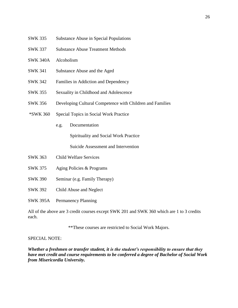- SWK 335 Substance Abuse in Special Populations
- SWK 337 Substance Abuse Treatment Methods
- SWK 340A Alcoholism
- SWK 341 Substance Abuse and the Aged
- SWK 342 Families in Addiction and Dependency
- SWK 355 Sexuality in Childhood and Adolescence
- SWK 356 Developing Cultural Competence with Children and Families
- \*SWK 360 Special Topics in Social Work Practice
	- e.g. Documentation

Spirituality and Social Work Practice

Suicide Assessment and Intervention

- SWK 363 Child Welfare Services
- SWK 375 Aging Policies & Programs
- SWK 390 Seminar (e.g. Family Therapy)
- SWK 392 Child Abuse and Neglect
- SWK 395A Permanency Planning

All of the above are 3 credit courses except SWK 201 and SWK 360 which are 1 to 3 credits each.

\*\*These courses are restricted to Social Work Majors.

### SPECIAL NOTE:

*Whether a freshmen or transfer student, it is the student's responsibility to ensure that they have met credit and course requirements to be conferred a degree of Bachelor of Social Work from Misericordia University.*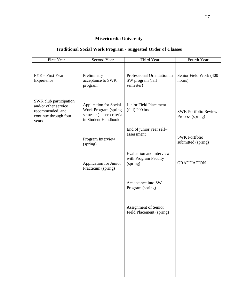### **Misericordia University**

### **Traditional Social Work Program - Suggested Order of Classes**

| First Year                                                                                           | Second Year                                                                                              | Third Year                                                   | Fourth Year                                     |
|------------------------------------------------------------------------------------------------------|----------------------------------------------------------------------------------------------------------|--------------------------------------------------------------|-------------------------------------------------|
| FYE - First Year<br>Experience                                                                       | Preliminary<br>acceptance to SWK<br>program                                                              | Professional Orientation in<br>SW program (fall<br>semester) | Senior Field Work (400<br>hours)                |
| SWK club participation<br>and/or other service<br>recommended, and<br>continue through four<br>years | <b>Application for Social</b><br>Work Program (spring<br>semester) – see criteria<br>in Student Handbook | Junior Field Placement<br>$(fall)$ 200 hrs                   | <b>SWK Portfolio Review</b><br>Process (spring) |
|                                                                                                      | Program Interview<br>(spring)                                                                            | End of junior year self-<br>assessment                       | <b>SWK Portfolio</b><br>submitted (spring)      |
|                                                                                                      | Application for Junior<br>Practicum (spring)                                                             | Evaluation and interview<br>with Program Faculty<br>(spring) | <b>GRADUATION</b>                               |
|                                                                                                      |                                                                                                          | Acceptance into SW<br>Program (spring)                       |                                                 |
|                                                                                                      |                                                                                                          | <b>Assignment of Senior</b><br>Field Placement (spring)      |                                                 |
|                                                                                                      |                                                                                                          |                                                              |                                                 |
|                                                                                                      |                                                                                                          |                                                              |                                                 |
|                                                                                                      |                                                                                                          |                                                              |                                                 |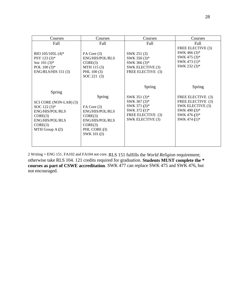| Courses                | Courses                | Courses           | Courses           |
|------------------------|------------------------|-------------------|-------------------|
| Fall                   | Fall                   | Fall              | Fall              |
|                        |                        |                   | FREE ELECTIVE (3) |
| BIO 105/105L (4)*      | FA Core (3)            | SWK 251 (3)       | SWK 466 (3)*      |
| PSY 123 (3)*           | <b>ENG/HIS/POL/RLS</b> | SWK 350 (3)*      | SWK 475 (3)*      |
| Soc 101 $(3)^*$        | CORE(3)                | SWK 366 (3)*      | SWK 473 (1)*      |
| POL $100(3)$ *         | MTH 115 (3)            | SWK ELECTIVE (3)  | SWK 232 (3)*      |
| ENG/RLS/HIS 151 (3)    | PHL 100 (3)            | FREE ELECTIVE (3) |                   |
|                        | SOC 221 (3)            |                   |                   |
|                        |                        |                   |                   |
|                        |                        | Spring            | Spring            |
| Spring                 |                        |                   |                   |
|                        | Spring                 | SWK 351 (3)*      | FREE ELECTIVE (3) |
| SCI CORE (NON-LAB) (3) |                        | SWK 367 (3)*      | FREE ELECTIVE (3) |
| SOC 122 $(3)^*$        | FA Core (3)            | SWK 371 (3)*      | SWK ELECTIVE (3)  |
| <b>ENG/HIS/POL/RLS</b> | <b>ENG/HIS/POL/RLS</b> | SWK 372 (1)*      | SWK 490 (3)*      |
| CORE(3)                | CORE(3)                | FREE ELECTIVE (3) | SWK 476 (3)*      |
| <b>ENG/HIS/POL/RLS</b> | <b>ENG/HIS/POL/RLS</b> | SWK ELECTIVE (3)  | SWK 474 (1)*      |
| CORE(3)                | CORE(3)                |                   |                   |
| MTH Group A (3)        | PHL CORE (3)           |                   |                   |
|                        | SWK 101 (3)            |                   |                   |
|                        |                        |                   |                   |
|                        |                        |                   |                   |

2 Writing + ENG 151. FA102 and FA104 not core. RLS 151 fulfills the *World Religion* requirement; otherwise take RLS 104*.* 121 credits required for graduation. **Students MUST complete the \* courses as part of CSWE accreditation**. SWK 477 can replace SWK 475 and SWK 476, but not encouraged.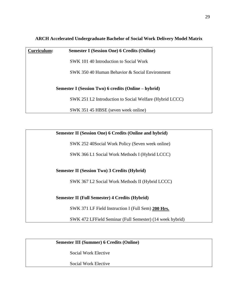### **ARCH Accelerated Undergraduate Bachelor of Social Work Delivery Model Matrix**

| Curriculum: | <b>Semester I (Session One) 6 Credits (Online)</b>      |
|-------------|---------------------------------------------------------|
|             | SWK 101 40 Introduction to Social Work                  |
|             | SWK 350.40 Human Behavior & Social Environment          |
|             |                                                         |
|             | Semester I (Session Two) 6 credits (Online – hybrid)    |
|             | SWK 251 L2 Introduction to Social Welfare (Hybrid LCCC) |
|             | SWK 351 45 HBSE (seven week online)                     |

### **Semester II (Session One) 6 Credits (Online and hybrid)**

SWK 252 40Social Work Policy (Seven week online)

SWK 366 L1 Social Work Methods I (Hybrid LCCC)

**Semester II (Session Two) 3 Credits (Hybrid)**

SWK 367 L2 Social Work Methods II (Hybrid LCCC)

### **Semester II (Full Semester) 4 Credits (Hybrid)**

SWK 371 LF Field Instruction I (Full Sem) **200 Hrs.**

SWK 472 LFField Seminar (Full Semester) (14 week hybrid)

### **Semester III (Summer) 6 Credits (Online)**

Social Work Elective

Social Work Elective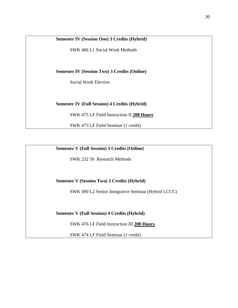### **Semester IV (Session One) 3 Credits (Hybrid)**

SWK 466 L1 Social Work Methods

**Semester IV (Session Two) 3 Credits (Online)**

Social Work Elective

**Semester IV (Full Session) 4 Credits (Hybrid)**

SWK 475 LF Field Instruction II **200 Hours**

SWK 473 LF Field Seminar (1 credit)

**Semester V (Full Session) 3 Credits (Online)**

SWK 232 50 Research Methods

**Semester V (Session Two) 3 Credits (Hybrid)**

SWK 490 L2 Senior Integrative Seminar (Hybrid LCCC)

**Semester V (Full Session) 4 Credits (Hybrid)**

SWK 476 LF Field Instruction III **200 Hours**

SWK 474 LF Field Seminar (1 credit)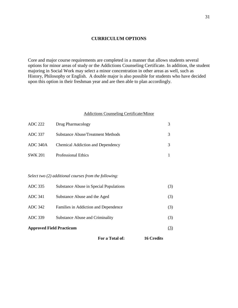### **CURRICULUM OPTIONS**

Core and major course requirements are completed in a manner that allows students several options for minor areas of study or the Addictions Counseling Certificate. In addition, the student majoring in Social Work may select a minor concentration in other areas as well, such as History, Philosophy or English. A double major is also possible for students who have decided upon this option in their freshman year and are then able to plan accordingly.

### Addictions Counseling Certificate/Minor

| ADC 222        | Drug Pharmacology                 |  |
|----------------|-----------------------------------|--|
| ADC 337        | Substance Abuse/Treatment Methods |  |
| ADC 340A       | Chemical Addiction and Dependency |  |
| <b>SWK 201</b> | <b>Professional Ethics</b>        |  |

### *Select two (2) additional courses from the following:*

| <b>Approved Field Practicum</b> |                                        | (3) |
|---------------------------------|----------------------------------------|-----|
| ADC 339                         | <b>Substance Abuse and Criminality</b> | (3) |
| ADC 342                         | Families in Addiction and Dependence   | (3) |
| <b>ADC</b> 341                  | Substance Abuse and the Aged           | (3) |
| ADC 335                         | Substance Abuse in Special Populations | (3) |

**For a Total of: 16 Credits**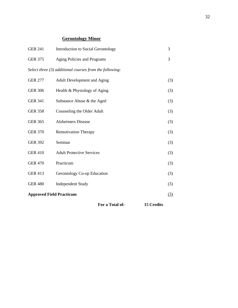### **Gerontology Minor**

|                                                         | For a Total of:                    | <b>15 Credits</b> |     |
|---------------------------------------------------------|------------------------------------|-------------------|-----|
|                                                         | <b>Approved Field Practicum</b>    |                   | (3) |
| <b>GER 480</b>                                          | <b>Independent Study</b>           |                   | (3) |
| <b>GER 413</b>                                          | Gerontology Co-op Education        |                   | (3) |
| <b>GER 470</b>                                          | Practicum                          |                   | (3) |
| <b>GER 410</b>                                          | <b>Adult Protective Services</b>   |                   | (3) |
| <b>GER 392</b>                                          | Seminar                            |                   | (3) |
| <b>GER 370</b>                                          | <b>Remotivation Therapy</b>        |                   | (3) |
| <b>GER 365</b>                                          | <b>Alzheimers Disease</b>          |                   | (3) |
| <b>GER 358</b>                                          | Counseling the Older Adult         |                   | (3) |
| <b>GER 341</b>                                          | Substance Abuse & the Aged         |                   | (3) |
| <b>GER 306</b>                                          | Health & Physiology of Aging       |                   | (3) |
| <b>GER 277</b>                                          | <b>Adult Development and Aging</b> |                   | (3) |
| Select three (3) additional courses from the following: |                                    |                   |     |
| <b>GER 375</b>                                          | Aging Policies and Programs        |                   | 3   |
| <b>GER 241</b>                                          | Introduction to Social Gerontology |                   | 3   |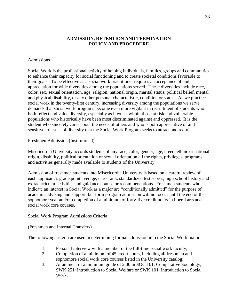### **ADMISSION, RETENTION AND TERMINATION POLICY AND PROCEDURE**

### Admissions

Social Work is the professional activity of helping individuals, families, groups and communities to enhance their capacity for social functioning and to create societal conditions favorable to their goals. To be effective as a social work practitioner requires an acceptance of and appreciation for wide diversities among the populations served. These diversities include race, color, sex, sexual orientation, age, religion, national origin, marital status, political belief, mental and physical disability, or any other personal characteristic, condition or status. As we practice social work in the twenty-first century, increasing diversity among the populations we serve demands that social work programs become even more vigilant in recruitment of students who both reflect and value diversity, especially as it exists within those at risk and vulnerable populations who historically have been most discriminated against and oppressed. It is the student who sincerely cares about the needs of others and who is both appreciative of and sensitive to issues of diversity that the Social Work Program seeks to attract and recruit.

### Freshmen Admission (Institutional)

Misericordia University accords students of any race, color, gender, age, creed, ethnic or national origin, disability, political orientation or sexual orientation all the rights, privileges, programs and activities generally made available to students of the University.

Admission of freshmen students into Misericordia University is based on a careful review of each applicant's grade point average, class rank, standardized test scores, high school history and extracurricular activities and guidance counselor recommendations. Freshmen students who indicate an interest in Social Work as a major are "conditionally admitted" for the purpose of academic advising and support, but form program admission will not occur until the end of the sophomore year and/or completion of a minimum of forty-five credit hours in liberal arts and social work core courses.

### Social Work Program Admissions Criteria

(Freshmen and Internal Transfers)

The following criteria are used in determining formal admission into the Social Work major:

- 1. Personal interview with a member of the full-time social work faculty;
- 2. Completion of a minimum of 45 credit hours, including all freshmen and sophomore social work core courses listed in the University catalog;
- 3. Attainment of a minimum grade of 2.00 in SOC 101: Comparative Sociology; SWK 251: Introduction to Social Welfare or SWK 101: Introduction to Social Work.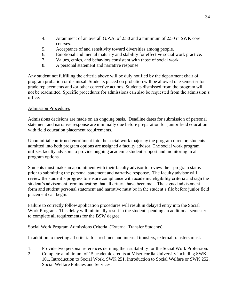- 4. Attainment of an overall G.P.A. of 2.50 and a minimum of 2.50 in SWK core courses.
- 5. Acceptance of and sensitivity toward diversities among people.
- 6. Emotional and mental maturity and stability for effective social work practice.
- 7. Values, ethics, and behaviors consistent with those of social work.
- 8. A personal statement and narrative response.

Any student not fulfilling the criteria above will be duly notified by the department chair of program probation or dismissal. Students placed on probation will be allowed one semester for grade replacements and /or other corrective actions. Students dismissed from the program will not be readmitted. Specific procedures for admissions can also be requested from the admission's office.

### Admission Procedures

Admissions decisions are made on an ongoing basis. Deadline dates for submission of personal statement and narrative response are minimally due before preparation for junior field education with field education placement requirements.

Upon initial confirmed enrollment into the social work major by the program director, students admitted into both program options are assigned a faculty advisor. The social work program utilizes faculty advisors to provide ongoing academic student support and monitoring in all program options.

Students must make an appointment with their faculty advisor to review their program status prior to submitting the personal statement and narrative response. The faculty advisor will review the student's progress to ensure compliance with academic eligibility criteria and sign the student's advisement form indicating that all criteria have been met. The signed advisement form and student personal statement and narrative must be in the student's file before junior field placement can begin.

Failure to correctly follow application procedures will result in delayed entry into the Social Work Program. This delay will minimally result in the student spending an additional semester to complete all requirements for the BSW degree.

### Social Work Program Admissions Criteria (External Transfer Students)

In addition to meeting all criteria for freshmen and internal transfers, external transfers must:

- 1. Provide two personal references defining their suitability for the Social Work Profession.
- 2. Complete a minimum of 15 academic credits at Misericordia University including SWK 101, Introduction to Social Work, SWK 251, Introduction to Social Welfare or SWK 252, Social Welfare Policies and Services.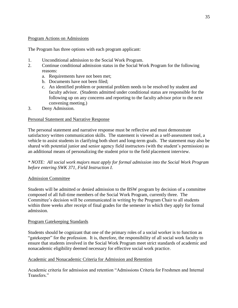### Program Actions on Admissions

The Program has three options with each program applicant:

- 1. Unconditional admission to the Social Work Program.
- 2. Continue conditional admission status in the Social Work Program for the following reasons:
	- a. Requirements have not been met;
	- b. Documents have not been filed;
	- c. An identified problem or potential problem needs to be resolved by student and faculty advisor. (Students admitted under conditional status are responsible for the following up on any concerns and reporting to the faculty advisor prior to the next convening meeting.)
- 3. Deny Admission.

### Personal Statement and Narrative Response

The personal statement and narrative response must be reflective and must demonstrate satisfactory written communication skills. The statement is viewed as a self-assessment tool, a vehicle to assist students in clarifying both short and long-term goals. The statement may also be shared with potential junior and senior agency field instructors (with the student's permission) as an additional means of personalizing the student prior to the field placement interview.

### *\* NOTE: All social work majors must apply for formal admission into the Social Work Program before entering SWK 371, Field Instruction I.*

### Admission Committee

Students will be admitted or denied admission to the BSW program by decision of a committee composed of all full-time members of the Social Work Program, currently three. The Committee's decision will be communicated in writing by the Program Chair to all students within three weeks after receipt of final grades for the semester in which they apply for formal admission.

### Program Gatekeeping Standards

Students should be cognizant that one of the primary roles of a social worker is to function as "gatekeeper" for the profession. It is, therefore, the responsibility of all social work faculty to ensure that students involved in the Social Work Program meet strict standards of academic and nonacademic eligibility deemed necessary for effective social work practice.

### Academic and Nonacademic Criteria for Admission and Retention

Academic criteria for admission and retention "Admissions Criteria for Freshmen and Internal Transfers."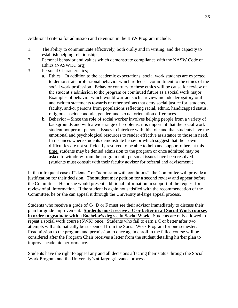Additional criteria for admission and retention in the BSW Program include:

- 1. The ability to communicate effectively, both orally and in writing, and the capacity to establish helping relationships;
- 2. Personal behavior and values which demonstrate compliance with the NASW Code of Ethics (NASWDC.org).
- 3. Personal Characteristics;
	- a. Ethics In addition to the academic expectations, social work students are expected to demonstrate professional behavior which reflects a commitment to the ethics of the social work profession. Behavior contrary to these ethics will be cause for review of the student's admission to the program or continued future as a social work major. Examples of behavior which would warrant such a review include derogatory oral and written statements towards or other actions that deny social justice for, students, faculty, and/or persons from populations reflecting racial, ethnic, handicapped status, religious, socioeconomic, gender, and sexual orientation differences.
	- b. Behavior Since the role of social worker involves helping people from a variety of backgrounds and with a wide range of problems, it is important that the social work student not permit personal issues to interfere with this role and that students have the emotional and psychological resources to render effective assistance to those in need. In instances where students demonstrate behavior which suggest that their own difficulties are not sufficiently resolved to be able to help and support others at this time, students may be denied admission to the program or once admitted may be asked to withdraw from the program until personal issues have been resolved. (students must consult with their faculty advisor for referral and advisement.)

In the infrequent case of "denial" or "admission with conditions", the Committee will provide a justification for their decision. The student may petition for a second review and appear before the Committee. He or she would present additional information in support of the request for a review of all information. If the student is again not satisfied with the recommendation of the Committee, he or she can appeal it through the University at-large appeal process.

Students who receive a grade of C-, D or F must see their advisor immediately to discuss their plan for grade improvement. **Students must receive a C or better in all Social Work courses in order to graduate with a Bachelor's degree in Social Work**. Students are only allowed to repeat a social work course (SWK) once. Students who fail to earn a C or better after two attempts will automatically be suspended from the Social Work Program for one semester. Readmission to the program and permission to once again enroll in the failed course will be considered after the Program Chair receives a letter from the student detailing his/her plan to improve academic performance.

Students have the right to appeal any and all decisions affecting their status through the Social Work Program and the University's at-large grievance process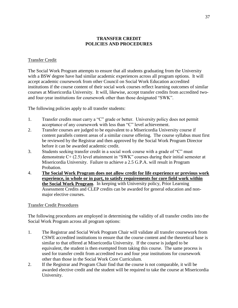### **TRANSFER CREDIT POLICIES AND PROCEDURES**

### Transfer Credit

The Social Work Program attempts to ensure that all students graduating from the University with a BSW degree have had similar academic experiences across all program options. It will accept academic coursework from other Council on Social Work Education accredited institutions if the course content of their social work courses reflect learning outcomes of similar courses at Misericordia University. It will, likewise, accept transfer credits from accredited twoand four-year institutions for coursework other than those designated "SWK".

The following policies apply to all transfer students:

- 1. Transfer credits must carry a "C" grade or better. University policy does not permit acceptance of any coursework with less than "C" level achievement.
- 2. Transfer courses are judged to be equivalent to a Misericordia University course if content parallels content areas of a similar course offering. The course syllabus must first be reviewed by the Registrar and then approved by the Social Work Program Director before it can be awarded academic credit.
- 3. Students seeking transfer credit in a social work course with a grade of "C" must demonstrate C+ (2.5) level attainment in "SWK" courses during their initial semester at Misericordia University. Failure to achieve a 2.5 G.P.A. will result in Program Probation.
- 4. **The Social Work Program does not allow credit for life experience or previous work experience, in whole or in part, to satisfy requirements for core field work within the Social Work Program**. In keeping with University policy, Prior Learning Assessment Credits and CLEP credits can be awarded for general education and nonmajor elective courses.

### Transfer Credit Procedures

The following procedures are employed in determining the validity of all transfer credits into the Social Work Program across all program options:

- 1. The Registrar and Social Work Program Chair will validate all transfer coursework from CSWE accredited institutions to ensure that the course content and the theoretical base is similar to that offered at Misericordia University. If the course is judged to be equivalent, the student is then exempted from taking this course. The same process is used for transfer credit from accredited two and four year institutions for coursework other than those in the Social Work Core Curriculum.
- 2. If the Registrar and Program Chair find that the course is not comparable, it will be awarded elective credit and the student will be required to take the course at Misericordia University.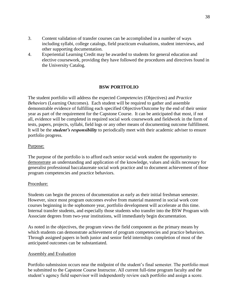- 3. Content validation of transfer courses can be accomplished in a number of ways including syllabi, college catalogs, field practicum evaluations, student interviews, and other supporting documentation.
- 4. Experiential Learning Credit may be awarded to students for general education and elective coursework, providing they have followed the procedures and directives found in the University Catalog.

### **BSW PORTFOLIO**

The student portfolio will address the expected *Competencies* (Objectives) and *Practice Behaviors* (Learning Outcomes). Each student will be required to gather and assemble demonstrable evidence of fulfilling each specified Objective/Outcome by the end of their senior year as part of the requirement for the Capstone Course. It can be anticipated that most, if not all, evidence will be completed in required social work coursework and fieldwork in the form of tests, papers, projects, syllabi, field logs or any other means of documenting outcome fulfillment. It will be the *student's responsibility* to periodically meet with their academic adviser to ensure portfolio progress.

### Purpose:

The purpose of the portfolio is to afford each senior social work student the opportunity to demonstrate an understanding and application of the knowledge, values and skills necessary for generalist professional baccalaureate social work practice and to document achievement of those program competencies and practice behaviors.

### Procedure:

Students can begin the process of documentation as early as their initial freshman semester. However, since most program outcomes evolve from material mastered in social work core courses beginning in the sophomore year, portfolio development will accelerate at this time. Internal transfer students, and especially those students who transfer into the BSW Program with Associate degrees from two-year institutions, will immediately begin documentation.

As noted in the objectives, the program views the field component as the primary means by which students can demonstrate achievement of program competencies and practice behaviors. Through assigned papers in both junior and senior field internships completion of most of the anticipated outcomes can be substantiated.

### Assembly and Evaluation

Portfolio submission occurs near the midpoint of the student's final semester. The portfolio must be submitted to the Capstone Course Instructor. All current full-time program faculty and the student's agency field supervisor will independently review each portfolio and assign a score.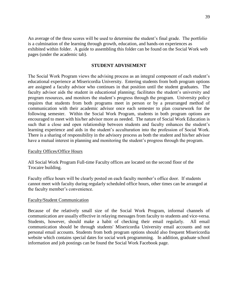An average of the three scores will be used to determine the student's final grade. The portfolio is a culmination of the learning through growth, education, and hands-on experiences as exhibited within folder. A guide to assembling this folder can be found on the Social Work web pages (under the academic tab).

### **STUDENT ADVISEMENT**

The Social Work Program views the advising process as an integral component of each student's educational experience at Misericordia University. Entering students from both program options are assigned a faculty advisor who continues in that position until the student graduates. The faculty advisor aids the student in educational planning; facilitates the student's university and program resources, and monitors the student's progress through the program. University policy requires that students from both programs meet in person or by a prearranged method of communication with their academic advisor once each semester to plan coursework for the following semester. Within the Social Work Program, students in both program options are encouraged to meet with his/her advisor more as needed. The nature of Social Work Education is such that a close and open relationship between students and faculty enhances the student's learning experience and aids in the student's acculturation into the profession of Social Work. There is a sharing of responsibility in the advisory process as both the student and his/her advisor have a mutual interest in planning and monitoring the student's progress through the program.

### Faculty Offices/Office Hours

All Social Work Program Full-time Faculty offices are located on the second floor of the Trocaire building.

Faculty office hours will be clearly posted on each faculty member's office door. If students cannot meet with faculty during regularly scheduled office hours, other times can be arranged at the faculty member's convenience.

### Faculty/Student Communication

Because of the relatively small size of the Social Work Program, informal channels of communication are usually effective in relaying messages from faculty to students and vice-versa. Students, however, should make a habit of checking their email regularly. All email communication should be through students' Misericordia University email accounts and not personal email accounts. Students from both program options should also frequent Misericordia website which contains special dates for social work programming. In addition, graduate school information and job postings can be found the Social Work Facebook page.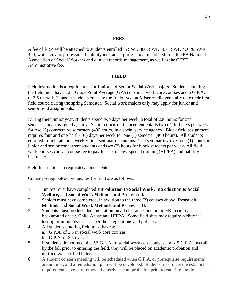### **FEES**

A fee of \$154 will be attached to students enrolled in SWK 366, SWK 367 , SWK 460 & SWK 490, which covers professional liability insurance, professional membership in the PA National Association of Social Workers and clinical records management, as well as the CHSE Administrative fee.

### **FIELD**

Field instruction is a requirement for Junior and Senior Social Work majors. Students entering the field must have a 2.5 Grade Point Average (GPA) in social work core courses and a G.P.A. of 2.5 overall. Transfer students entering the Junior year at Misericordia generally take their first field course during the spring Semester. Social work majors only may apply for junior and senior field assignments.

During their Junior year, students spend two days per week, a total of 200 hours for one semester, in an assigned agency. Senior concurrent placement entails two (2) full days per week for two (2) consecutive semesters (400 hours) in a social service agency. Block field assignment requires four and one-half  $(4 \frac{1}{2})$  days per week for one (1) semester (400 hours). All students enrolled in field attend a weekly field seminar on campus. The seminar involves one (1) hour for junior and senior concurrent students and two (2) hours for block students per week. All field work courses carry a course fee to pay for clearances, special training (HIPPA) and liability insurances.

### Field Instruction Prerequisites/Concurrents

Course prerequisites/corequisites for field are as follows:

- 1. Juniors must have completed **Introduction to Social Work, Introduction to Social Welfare,** and **Social Work Methods and Processes I.**
- 2. Seniors must have completed, in addition to the three (3) courses above, **Research Methods** and **Social Work Methods and Processes II.**
- 3. Students must produce documentation on all clearances including FBI, criminal background check, Child Abuse and HIPPA. Some field sites may require additional testing or immunizations as per their regulations and policies.
- 4. All students entering field must have a:
	- a. G.P.A. of 2.5 in social work core courses
	- b. G.P.A. of 2.5 overall
- 5. If students do not meet the 2.5 G.P.A. in social work core courses and 2.5 G.P.A. overall by the fall prior to entering the field, they will be placed on academic probation and notified via certified letter.
- 6. A student concern meeting will be scheduled when G.P.A. or prerequisite requirements are not met, and a remediation plan will be developed. Students must meet the established requirements above to remove themselves from probation prior to entering the field.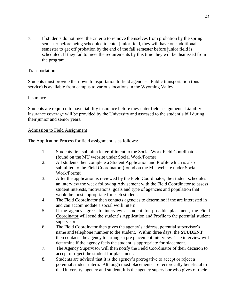7. If students do not meet the criteria to remove themselves from probation by the spring semester before being scheduled to enter junior field, they will have one additional semester to get off probation by the end of the fall semester before junior field is scheduled. If they fail to meet the requirements by this time they will be dismissed from the program.

### Transportation

Students must provide their own transportation to field agencies. Public transportation (bus service) is available from campus to various locations in the Wyoming Valley.

### Insurance

Students are required to have liability insurance before they enter field assignment. Liability insurance coverage will be provided by the University and assessed to the student's bill during their junior and senior years.

### Admission to Field Assignment

The Application Process for field assignment is as follows:

- 1. Students first submit a letter of intent to the Social Work Field Coordinator. (found on the MU website under Social Work/Forms)
- 2. All students then complete a Student Application and Profile which is also submitted to the Field Coordinator. (found on the MU website under Social Work/Forms)
- 3. After the application is reviewed by the Field Coordinator, the student schedules an interview the week following Advisement with the Field Coordinator to assess student interests, motivations, goals and type of agencies and population that would be most appropriate for each student.
- 4. The Field Coordinator then contacts agencies to determine if the are interested in and can accommodate a social work intern.
- 5. If the agency agrees to interview a student for possible placement, the Field Coordinator will send the student's Application and Profile to the potential student supervisor.
- 6. The Field Coordinator then gives the agency's address, potential supervisor's name and telephone number to the student. Within three days, the **STUDENT** then contacts the agency to arrange a pre placement interview. The interview will determine if the agency feels the student is appropriate for placement.
- 7. The Agency Supervisor will then notify the Field Coordinator of their decision to accept or reject the student for placement.
- 8. Students are advised that it is the agency's prerogative to accept or reject a potential student intern. Although most placements are reciprocally beneficial to the University, agency and student, it is the agency supervisor who gives of their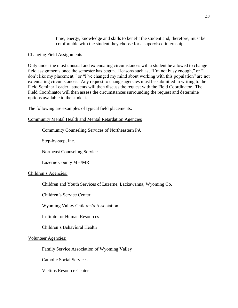time, energy, knowledge and skills to benefit the student and, therefore, must be comfortable with the student they choose for a supervised internship.

### Changing Field Assignments

Only under the most unusual and extenuating circumstances will a student be allowed to change field assignments once the semester has begun. Reasons such as, "I'm not busy enough," or "I don't like my placement," or "I've changed my mind about working with this population" are not extenuating circumstances. Any request to change agencies must be submitted in writing to the Field Seminar Leader. students will then discuss the request with the Field Coordinator. The Field Coordinator will then assess the circumstances surrounding the request and determine options available to the student.

The following are examples of typical field placements:

### Community Mental Health and Mental Retardation Agencies

Community Counseling Services of Northeastern PA

Step-by-step, Inc.

Northeast Counseling Services

Luzerne County MH/MR

### Children's Agencies:

Children and Youth Services of Luzerne, Lackawanna, Wyoming Co.

Children's Service Center

Wyoming Valley Children's Association

Institute for Human Resources

Children's Behavioral Health

### Volunteer Agencies:

Family Service Association of Wyoming Valley

Catholic Social Services

Victims Resource Center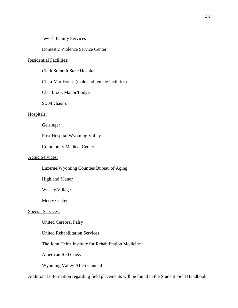Jewish Family Services

### Domestic Violence Service Center

### Residential Facilities:

Clark Summit State Hospital

Clem-Mar House (male and female facilities)

Clearbrook Manor/Lodge

St. Michael's

### Hospitals:

Geisinger

First Hospital Wyoming Valley

Community Medical Center

### Aging Services:

Luzerne/Wyoming Counties Bureau of Aging

Highland Manor

Wesley Village

Mercy Center

### Special Services:

United Cerebral Palsy

United Rehabilitation Services

The John Heinz Institute for Rehabilitation Medicine

American Red Cross

Wyoming Valley AIDS Council

Additional information regarding field placements will be found in the Student Field Handbook.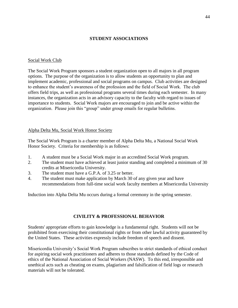### **STUDENT ASSOCIATIONS**

### Social Work Club

The Social Work Program sponsors a student organization open to all majors in all program options. The purpose of the organization is to allow students an opportunity to plan and implement academic, professional and social programs on campus. Club activities are designed to enhance the student's awareness of the profession and the field of Social Work. The club offers field trips, as well as professional programs several times during each semester. In many instances, the organization acts in an advisory capacity to the faculty with regard to issues of importance to students. Social Work majors are encouraged to join and be active within the organization. Please join this "group" under group emails for regular bulletins.

### Alpha Delta Mu, Social Work Honor Society

The Social Work Program is a charter member of Alpha Delta Mu, a National Social Work Honor Society. Criteria for membership is as follows:

- 1. A student must be a Social Work major in an accredited Social Work program.
- 2. The student must have achieved at least junior standing and completed a minimum of 30 credits at Misericordia University.
- 3. The student must have a G.P.A. of 3.25 or better.
- 4. The student must make application by March 30 of any given year and have recommendations from full-time social work faculty members at Misericordia University

Induction into Alpha Delta Mu occurs during a formal ceremony in the spring semester.

### **CIVILITY & PROFESSIONAL BEHAVIOR**

Students' appropriate efforts to gain knowledge is a fundamental right. Students will not be prohibited from exercising their constitutional rights or from other lawful activity guaranteed by the United States. These activities expressly include freedom of speech and dissent.

Misericordia University's Social Work Program subscribes to strict standards of ethical conduct for aspiring social work practitioners and adheres to those standards defined by the Code of ethics of the National Association of Social Workers (NASW). To this end, irresponsible and unethical acts such as cheating on exams, plagiarism and falsification of field logs or research materials will not be tolerated.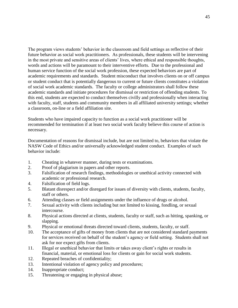The program views students' behavior in the classroom and field settings as reflective of their future behavior as social work practitioners. As professionals, these students will be intervening in the most private and sensitive areas of clients' lives, where ethical and responsible thoughts, words and actions will be paramount to their interventive efforts. Due to the professional and human service function of the social work profession, these expected behaviors are part of academic requirements and standards. Student misconduct that involves clients on or off campus or student conduct that is potentially dangerous to current or future clients constitutes a violation of social work academic standards. The faculty or college administrators shall follow these academic standards and initiate procedures for dismissal or restriction of offending students. To this end, students are expected to conduct themselves civilly and professionally when interacting with faculty, staff, students and community members in all affiliated university settings; whether a classroom, on-line or a field affiliation site.

Students who have impaired capacity to function as a social work practitioner will be recommended for termination if at least two social work faculty believe this course of action is necessary.

Documentation of reasons for dismissal include, but are not limited to, behaviors that violate the NASW Code of Ethics and/or universally acknowledged student conduct. Examples of such behavior include:

- 1. Cheating in whatever manner, during tests or examinations.
- 2. Proof of plagiarism in papers and other reports.
- 3. Falsification of research findings, methodologies or unethical activity connected with academic or professional research.
- 4. Falsification of field logs.
- 5. Blatant disrespect and/or disregard for issues of diversity with clients, students, faculty, staff or others.
- 6. Attending classes or field assignments under the influence of drugs or alcohol.
- 7. Sexual activity with clients including but not limited to kissing, fondling, or sexual intercourse.
- 8. Physical actions directed at clients, students, faculty or staff, such as hitting, spanking, or slapping.
- 9. Physical or emotional threats directed toward clients, students, faculty, or staff.
- 10. The acceptance of gifts of money from clients that are not considered standard payments for services received on behalf of the student's agency or field setting. Students shall not ask for nor expect gifts from clients.
- 11. Illegal or unethical behavior that limits or takes away client's rights or results in financial, material, or emotional loss for clients or gain for social work students.
- 12. Repeated breaches of confidentiality;
- 13. Intentional violation of agency policy and procedures;
- 14. Inappropriate conduct;
- 15. Threatening or engaging in physical abuse;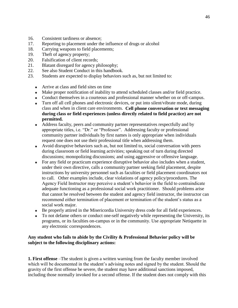- 16. Consistent tardiness or absence;
- 17. Reporting to placement under the influence of drugs or alcohol
- 18. Carrying weapons to field placements;
- 19. Theft of agency property;
- 20. Falsification of client records;
- 21. Blatant disregard for agency philosophy;
- 22. See also Student Conduct in this handbook.
- 23. Students are expected to display behaviors such as, but not limited to:
	- Arrive at class and field sites on time
	- Make proper notification of inability to attend scheduled classes and/or field practice.
	- Conduct themselves in a courteous and professional manner whether on or off-campus.
	- Turn off all cell phones and electronic devices, or put into silent/vibrate mode, during class and when in client care environments. **Cell phone conversation or text messaging during class or field experiences (unless directly related to field practice) are not permitted.**
	- Address faculty, peers and community partner representatives respectfully and by appropriate titles, i.e. "Dr." or "Professor". Addressing faculty or professional community partner individuals by first names is only appropriate when individuals request one does not use their professional title when addressing them.
	- Avoid disruptive behaviors such as, but not limited to, social conversation with peers during classroom or field learning activities; speaking out of turn during directed discussions; monopolizing discussions; and using aggressive or offensive language.
	- For any field or practicum experience disruptive behavior also includes when a student, under their own directive, calls a community partner seeking field placement, despite instructions by university personnel such as faculties or field placement coordinators not to call. Other examples include, clear violations of agency policy/procedures. The Agency Field Instructor may perceive a student's behavior in the field to contraindicate adequate functioning as a professional social work practitioner. Should problems arise that cannot be resolved between the student and agency field instructor, the instructor can recommend either termination of placement or termination of the student's status as a social work major.
	- Be properly attired in the Misericordia University dress code for all field experiences.
	- To not defame others or conduct one-self negatively while representing the University, its programs, or its faculties on-campus or in the community. Use appropriate Netiquette in any electronic correspondences.

### **Any student who fails to abide by the Civility & Professional Behavior policy will be subject to the following disciplinary actions:**

**1. First offense** –The student is given a written warning from the faculty member involved which will be documented in the student's advising notes and signed by the student. Should the gravity of the first offense be severe, the student may have additional sanctions imposed, including those normally invoked for a second offense. If the student does not comply with this